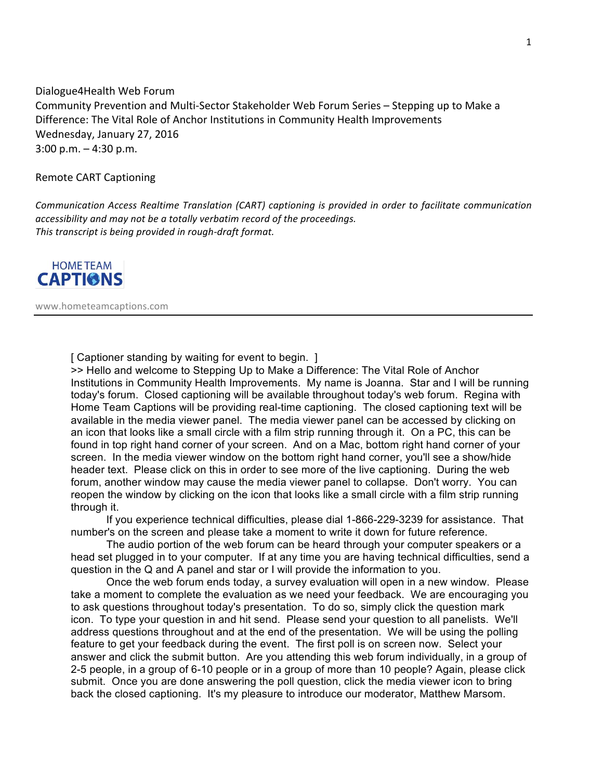Dialogue4Health Web Forum Community Prevention and Multi-Sector Stakeholder Web Forum Series - Stepping up to Make a Difference: The Vital Role of Anchor Institutions in Community Health Improvements Wednesday, January 27, 2016  $3:00$  p.m.  $-4:30$  p.m.

Remote CART Captioning

*Communication Access Realtime Translation (CART) captioning is provided in order to facilitate communication* accessibility and may not be a totally verbatim record of the proceedings. This transcript is being provided in rough-draft format.



www.hometeamcaptions.com

[ Captioner standing by waiting for event to begin. ]

>> Hello and welcome to Stepping Up to Make a Difference: The Vital Role of Anchor Institutions in Community Health Improvements. My name is Joanna. Star and I will be running today's forum. Closed captioning will be available throughout today's web forum. Regina with Home Team Captions will be providing real-time captioning. The closed captioning text will be available in the media viewer panel. The media viewer panel can be accessed by clicking on an icon that looks like a small circle with a film strip running through it. On a PC, this can be found in top right hand corner of your screen. And on a Mac, bottom right hand corner of your screen. In the media viewer window on the bottom right hand corner, you'll see a show/hide header text. Please click on this in order to see more of the live captioning. During the web forum, another window may cause the media viewer panel to collapse. Don't worry. You can reopen the window by clicking on the icon that looks like a small circle with a film strip running through it.

If you experience technical difficulties, please dial 1-866-229-3239 for assistance. That number's on the screen and please take a moment to write it down for future reference.

The audio portion of the web forum can be heard through your computer speakers or a head set plugged in to your computer. If at any time you are having technical difficulties, send a question in the Q and A panel and star or I will provide the information to you.

Once the web forum ends today, a survey evaluation will open in a new window. Please take a moment to complete the evaluation as we need your feedback. We are encouraging you to ask questions throughout today's presentation. To do so, simply click the question mark icon. To type your question in and hit send. Please send your question to all panelists. We'll address questions throughout and at the end of the presentation. We will be using the polling feature to get your feedback during the event. The first poll is on screen now. Select your answer and click the submit button. Are you attending this web forum individually, in a group of 2-5 people, in a group of 6-10 people or in a group of more than 10 people? Again, please click submit. Once you are done answering the poll question, click the media viewer icon to bring back the closed captioning. It's my pleasure to introduce our moderator, Matthew Marsom.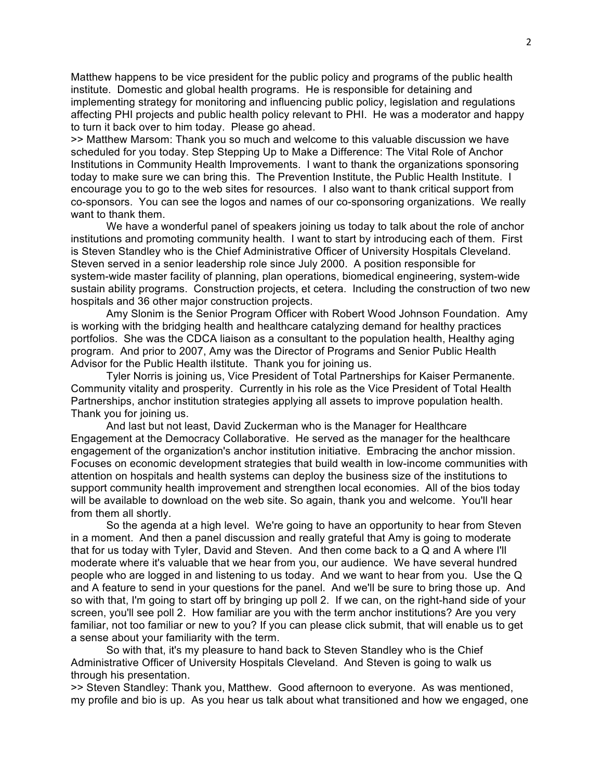Matthew happens to be vice president for the public policy and programs of the public health institute. Domestic and global health programs. He is responsible for detaining and implementing strategy for monitoring and influencing public policy, legislation and regulations affecting PHI projects and public health policy relevant to PHI. He was a moderator and happy to turn it back over to him today. Please go ahead.

>> Matthew Marsom: Thank you so much and welcome to this valuable discussion we have scheduled for you today. Step Stepping Up to Make a Difference: The Vital Role of Anchor Institutions in Community Health Improvements. I want to thank the organizations sponsoring today to make sure we can bring this. The Prevention Institute, the Public Health Institute. I encourage you to go to the web sites for resources. I also want to thank critical support from co-sponsors. You can see the logos and names of our co-sponsoring organizations. We really want to thank them.

We have a wonderful panel of speakers joining us today to talk about the role of anchor institutions and promoting community health. I want to start by introducing each of them. First is Steven Standley who is the Chief Administrative Officer of University Hospitals Cleveland. Steven served in a senior leadership role since July 2000. A position responsible for system-wide master facility of planning, plan operations, biomedical engineering, system-wide sustain ability programs. Construction projects, et cetera. Including the construction of two new hospitals and 36 other major construction projects.

Amy Slonim is the Senior Program Officer with Robert Wood Johnson Foundation. Amy is working with the bridging health and healthcare catalyzing demand for healthy practices portfolios. She was the CDCA liaison as a consultant to the population health, Healthy aging program. And prior to 2007, Amy was the Director of Programs and Senior Public Health Advisor for the Public Health ilstitute. Thank you for joining us.

Tyler Norris is joining us, Vice President of Total Partnerships for Kaiser Permanente. Community vitality and prosperity. Currently in his role as the Vice President of Total Health Partnerships, anchor institution strategies applying all assets to improve population health. Thank you for joining us.

And last but not least, David Zuckerman who is the Manager for Healthcare Engagement at the Democracy Collaborative. He served as the manager for the healthcare engagement of the organization's anchor institution initiative. Embracing the anchor mission. Focuses on economic development strategies that build wealth in low-income communities with attention on hospitals and health systems can deploy the business size of the institutions to support community health improvement and strengthen local economies. All of the bios today will be available to download on the web site. So again, thank you and welcome. You'll hear from them all shortly.

So the agenda at a high level. We're going to have an opportunity to hear from Steven in a moment. And then a panel discussion and really grateful that Amy is going to moderate that for us today with Tyler, David and Steven. And then come back to a Q and A where I'll moderate where it's valuable that we hear from you, our audience. We have several hundred people who are logged in and listening to us today. And we want to hear from you. Use the Q and A feature to send in your questions for the panel. And we'll be sure to bring those up. And so with that, I'm going to start off by bringing up poll 2. If we can, on the right-hand side of your screen, you'll see poll 2. How familiar are you with the term anchor institutions? Are you very familiar, not too familiar or new to you? If you can please click submit, that will enable us to get a sense about your familiarity with the term.

So with that, it's my pleasure to hand back to Steven Standley who is the Chief Administrative Officer of University Hospitals Cleveland. And Steven is going to walk us through his presentation.

>> Steven Standley: Thank you, Matthew. Good afternoon to everyone. As was mentioned, my profile and bio is up. As you hear us talk about what transitioned and how we engaged, one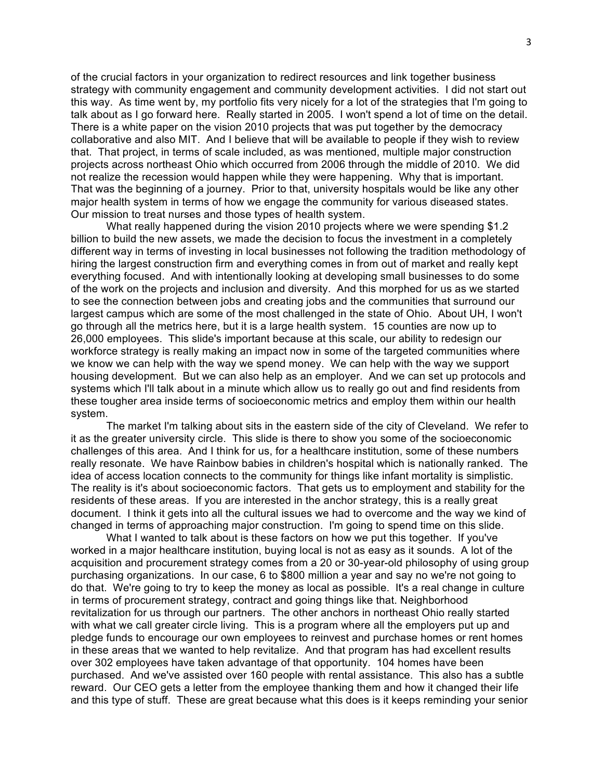of the crucial factors in your organization to redirect resources and link together business strategy with community engagement and community development activities. I did not start out this way. As time went by, my portfolio fits very nicely for a lot of the strategies that I'm going to talk about as I go forward here. Really started in 2005. I won't spend a lot of time on the detail. There is a white paper on the vision 2010 projects that was put together by the democracy collaborative and also MIT. And I believe that will be available to people if they wish to review that. That project, in terms of scale included, as was mentioned, multiple major construction projects across northeast Ohio which occurred from 2006 through the middle of 2010. We did not realize the recession would happen while they were happening. Why that is important. That was the beginning of a journey. Prior to that, university hospitals would be like any other major health system in terms of how we engage the community for various diseased states. Our mission to treat nurses and those types of health system.

What really happened during the vision 2010 projects where we were spending \$1.2 billion to build the new assets, we made the decision to focus the investment in a completely different way in terms of investing in local businesses not following the tradition methodology of hiring the largest construction firm and everything comes in from out of market and really kept everything focused. And with intentionally looking at developing small businesses to do some of the work on the projects and inclusion and diversity. And this morphed for us as we started to see the connection between jobs and creating jobs and the communities that surround our largest campus which are some of the most challenged in the state of Ohio. About UH, I won't go through all the metrics here, but it is a large health system. 15 counties are now up to 26,000 employees. This slide's important because at this scale, our ability to redesign our workforce strategy is really making an impact now in some of the targeted communities where we know we can help with the way we spend money. We can help with the way we support housing development. But we can also help as an employer. And we can set up protocols and systems which I'll talk about in a minute which allow us to really go out and find residents from these tougher area inside terms of socioeconomic metrics and employ them within our health system.

The market I'm talking about sits in the eastern side of the city of Cleveland. We refer to it as the greater university circle. This slide is there to show you some of the socioeconomic challenges of this area. And I think for us, for a healthcare institution, some of these numbers really resonate. We have Rainbow babies in children's hospital which is nationally ranked. The idea of access location connects to the community for things like infant mortality is simplistic. The reality is it's about socioeconomic factors. That gets us to employment and stability for the residents of these areas. If you are interested in the anchor strategy, this is a really great document. I think it gets into all the cultural issues we had to overcome and the way we kind of changed in terms of approaching major construction. I'm going to spend time on this slide.

What I wanted to talk about is these factors on how we put this together. If you've worked in a major healthcare institution, buying local is not as easy as it sounds. A lot of the acquisition and procurement strategy comes from a 20 or 30-year-old philosophy of using group purchasing organizations. In our case, 6 to \$800 million a year and say no we're not going to do that. We're going to try to keep the money as local as possible. It's a real change in culture in terms of procurement strategy, contract and going things like that. Neighborhood revitalization for us through our partners. The other anchors in northeast Ohio really started with what we call greater circle living. This is a program where all the employers put up and pledge funds to encourage our own employees to reinvest and purchase homes or rent homes in these areas that we wanted to help revitalize. And that program has had excellent results over 302 employees have taken advantage of that opportunity. 104 homes have been purchased. And we've assisted over 160 people with rental assistance. This also has a subtle reward. Our CEO gets a letter from the employee thanking them and how it changed their life and this type of stuff. These are great because what this does is it keeps reminding your senior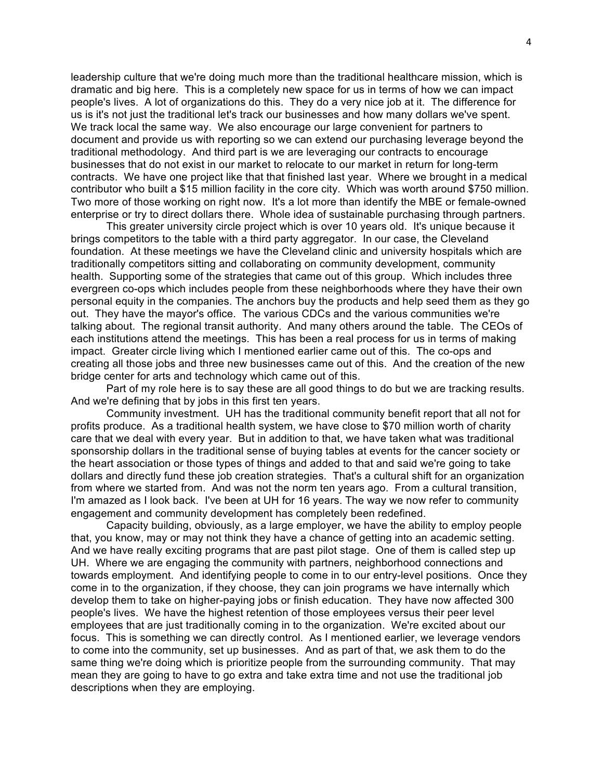leadership culture that we're doing much more than the traditional healthcare mission, which is dramatic and big here. This is a completely new space for us in terms of how we can impact people's lives. A lot of organizations do this. They do a very nice job at it. The difference for us is it's not just the traditional let's track our businesses and how many dollars we've spent. We track local the same way. We also encourage our large convenient for partners to document and provide us with reporting so we can extend our purchasing leverage beyond the traditional methodology. And third part is we are leveraging our contracts to encourage businesses that do not exist in our market to relocate to our market in return for long-term contracts. We have one project like that that finished last year. Where we brought in a medical contributor who built a \$15 million facility in the core city. Which was worth around \$750 million. Two more of those working on right now. It's a lot more than identify the MBE or female-owned enterprise or try to direct dollars there. Whole idea of sustainable purchasing through partners.

This greater university circle project which is over 10 years old. It's unique because it brings competitors to the table with a third party aggregator. In our case, the Cleveland foundation. At these meetings we have the Cleveland clinic and university hospitals which are traditionally competitors sitting and collaborating on community development, community health. Supporting some of the strategies that came out of this group. Which includes three evergreen co-ops which includes people from these neighborhoods where they have their own personal equity in the companies. The anchors buy the products and help seed them as they go out. They have the mayor's office. The various CDCs and the various communities we're talking about. The regional transit authority. And many others around the table. The CEOs of each institutions attend the meetings. This has been a real process for us in terms of making impact. Greater circle living which I mentioned earlier came out of this. The co-ops and creating all those jobs and three new businesses came out of this. And the creation of the new bridge center for arts and technology which came out of this.

Part of my role here is to say these are all good things to do but we are tracking results. And we're defining that by jobs in this first ten years.

Community investment. UH has the traditional community benefit report that all not for profits produce. As a traditional health system, we have close to \$70 million worth of charity care that we deal with every year. But in addition to that, we have taken what was traditional sponsorship dollars in the traditional sense of buying tables at events for the cancer society or the heart association or those types of things and added to that and said we're going to take dollars and directly fund these job creation strategies. That's a cultural shift for an organization from where we started from. And was not the norm ten years ago. From a cultural transition, I'm amazed as I look back. I've been at UH for 16 years. The way we now refer to community engagement and community development has completely been redefined.

Capacity building, obviously, as a large employer, we have the ability to employ people that, you know, may or may not think they have a chance of getting into an academic setting. And we have really exciting programs that are past pilot stage. One of them is called step up UH. Where we are engaging the community with partners, neighborhood connections and towards employment. And identifying people to come in to our entry-level positions. Once they come in to the organization, if they choose, they can join programs we have internally which develop them to take on higher-paying jobs or finish education. They have now affected 300 people's lives. We have the highest retention of those employees versus their peer level employees that are just traditionally coming in to the organization. We're excited about our focus. This is something we can directly control. As I mentioned earlier, we leverage vendors to come into the community, set up businesses. And as part of that, we ask them to do the same thing we're doing which is prioritize people from the surrounding community. That may mean they are going to have to go extra and take extra time and not use the traditional job descriptions when they are employing.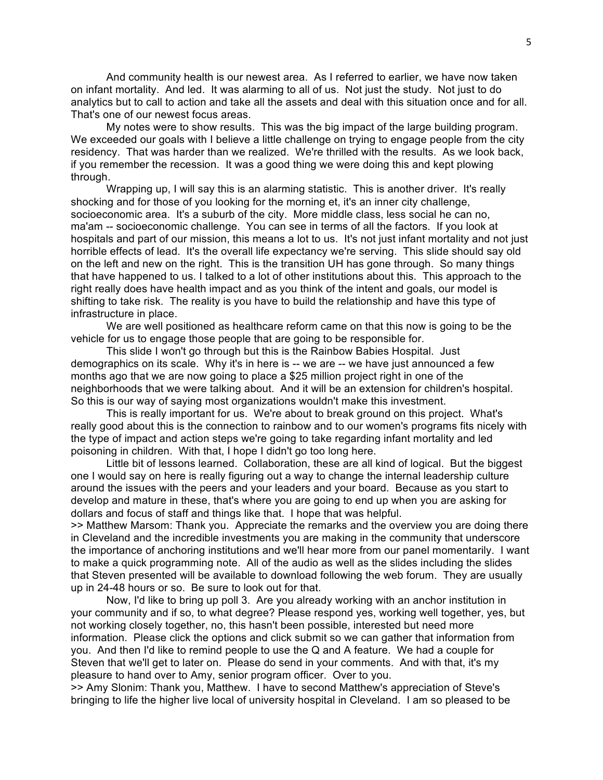And community health is our newest area. As I referred to earlier, we have now taken on infant mortality. And led. It was alarming to all of us. Not just the study. Not just to do analytics but to call to action and take all the assets and deal with this situation once and for all. That's one of our newest focus areas.

My notes were to show results. This was the big impact of the large building program. We exceeded our goals with I believe a little challenge on trying to engage people from the city residency. That was harder than we realized. We're thrilled with the results. As we look back, if you remember the recession. It was a good thing we were doing this and kept plowing through.

Wrapping up, I will say this is an alarming statistic. This is another driver. It's really shocking and for those of you looking for the morning et, it's an inner city challenge, socioeconomic area. It's a suburb of the city. More middle class, less social he can no, ma'am -- socioeconomic challenge. You can see in terms of all the factors. If you look at hospitals and part of our mission, this means a lot to us. It's not just infant mortality and not just horrible effects of lead. It's the overall life expectancy we're serving. This slide should say old on the left and new on the right. This is the transition UH has gone through. So many things that have happened to us. I talked to a lot of other institutions about this. This approach to the right really does have health impact and as you think of the intent and goals, our model is shifting to take risk. The reality is you have to build the relationship and have this type of infrastructure in place.

We are well positioned as healthcare reform came on that this now is going to be the vehicle for us to engage those people that are going to be responsible for.

This slide I won't go through but this is the Rainbow Babies Hospital. Just demographics on its scale. Why it's in here is -- we are -- we have just announced a few months ago that we are now going to place a \$25 million project right in one of the neighborhoods that we were talking about. And it will be an extension for children's hospital. So this is our way of saying most organizations wouldn't make this investment.

This is really important for us. We're about to break ground on this project. What's really good about this is the connection to rainbow and to our women's programs fits nicely with the type of impact and action steps we're going to take regarding infant mortality and led poisoning in children. With that, I hope I didn't go too long here.

Little bit of lessons learned. Collaboration, these are all kind of logical. But the biggest one I would say on here is really figuring out a way to change the internal leadership culture around the issues with the peers and your leaders and your board. Because as you start to develop and mature in these, that's where you are going to end up when you are asking for dollars and focus of staff and things like that. I hope that was helpful.

>> Matthew Marsom: Thank you. Appreciate the remarks and the overview you are doing there in Cleveland and the incredible investments you are making in the community that underscore the importance of anchoring institutions and we'll hear more from our panel momentarily. I want to make a quick programming note. All of the audio as well as the slides including the slides that Steven presented will be available to download following the web forum. They are usually up in 24-48 hours or so. Be sure to look out for that.

Now, I'd like to bring up poll 3. Are you already working with an anchor institution in your community and if so, to what degree? Please respond yes, working well together, yes, but not working closely together, no, this hasn't been possible, interested but need more information. Please click the options and click submit so we can gather that information from you. And then I'd like to remind people to use the Q and A feature. We had a couple for Steven that we'll get to later on. Please do send in your comments. And with that, it's my pleasure to hand over to Amy, senior program officer. Over to you.

>> Amy Slonim: Thank you, Matthew. I have to second Matthew's appreciation of Steve's bringing to life the higher live local of university hospital in Cleveland. I am so pleased to be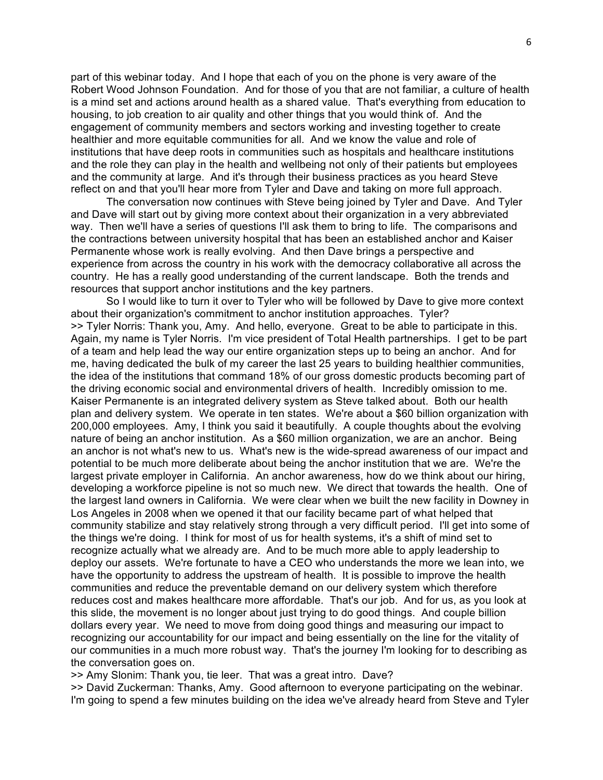part of this webinar today. And I hope that each of you on the phone is very aware of the Robert Wood Johnson Foundation. And for those of you that are not familiar, a culture of health is a mind set and actions around health as a shared value. That's everything from education to housing, to job creation to air quality and other things that you would think of. And the engagement of community members and sectors working and investing together to create healthier and more equitable communities for all. And we know the value and role of institutions that have deep roots in communities such as hospitals and healthcare institutions and the role they can play in the health and wellbeing not only of their patients but employees and the community at large. And it's through their business practices as you heard Steve reflect on and that you'll hear more from Tyler and Dave and taking on more full approach.

The conversation now continues with Steve being joined by Tyler and Dave. And Tyler and Dave will start out by giving more context about their organization in a very abbreviated way. Then we'll have a series of questions I'll ask them to bring to life. The comparisons and the contractions between university hospital that has been an established anchor and Kaiser Permanente whose work is really evolving. And then Dave brings a perspective and experience from across the country in his work with the democracy collaborative all across the country. He has a really good understanding of the current landscape. Both the trends and resources that support anchor institutions and the key partners.

So I would like to turn it over to Tyler who will be followed by Dave to give more context about their organization's commitment to anchor institution approaches. Tyler? >> Tyler Norris: Thank you, Amy. And hello, everyone. Great to be able to participate in this. Again, my name is Tyler Norris. I'm vice president of Total Health partnerships. I get to be part of a team and help lead the way our entire organization steps up to being an anchor. And for me, having dedicated the bulk of my career the last 25 years to building healthier communities, the idea of the institutions that command 18% of our gross domestic products becoming part of the driving economic social and environmental drivers of health. Incredibly omission to me. Kaiser Permanente is an integrated delivery system as Steve talked about. Both our health plan and delivery system. We operate in ten states. We're about a \$60 billion organization with 200,000 employees. Amy, I think you said it beautifully. A couple thoughts about the evolving nature of being an anchor institution. As a \$60 million organization, we are an anchor. Being an anchor is not what's new to us. What's new is the wide-spread awareness of our impact and potential to be much more deliberate about being the anchor institution that we are. We're the largest private employer in California. An anchor awareness, how do we think about our hiring, developing a workforce pipeline is not so much new. We direct that towards the health. One of the largest land owners in California. We were clear when we built the new facility in Downey in Los Angeles in 2008 when we opened it that our facility became part of what helped that community stabilize and stay relatively strong through a very difficult period. I'll get into some of the things we're doing. I think for most of us for health systems, it's a shift of mind set to recognize actually what we already are. And to be much more able to apply leadership to deploy our assets. We're fortunate to have a CEO who understands the more we lean into, we have the opportunity to address the upstream of health. It is possible to improve the health communities and reduce the preventable demand on our delivery system which therefore reduces cost and makes healthcare more affordable. That's our job. And for us, as you look at this slide, the movement is no longer about just trying to do good things. And couple billion dollars every year. We need to move from doing good things and measuring our impact to recognizing our accountability for our impact and being essentially on the line for the vitality of our communities in a much more robust way. That's the journey I'm looking for to describing as the conversation goes on.

>> Amy Slonim: Thank you, tie leer. That was a great intro. Dave?

>> David Zuckerman: Thanks, Amy. Good afternoon to everyone participating on the webinar. I'm going to spend a few minutes building on the idea we've already heard from Steve and Tyler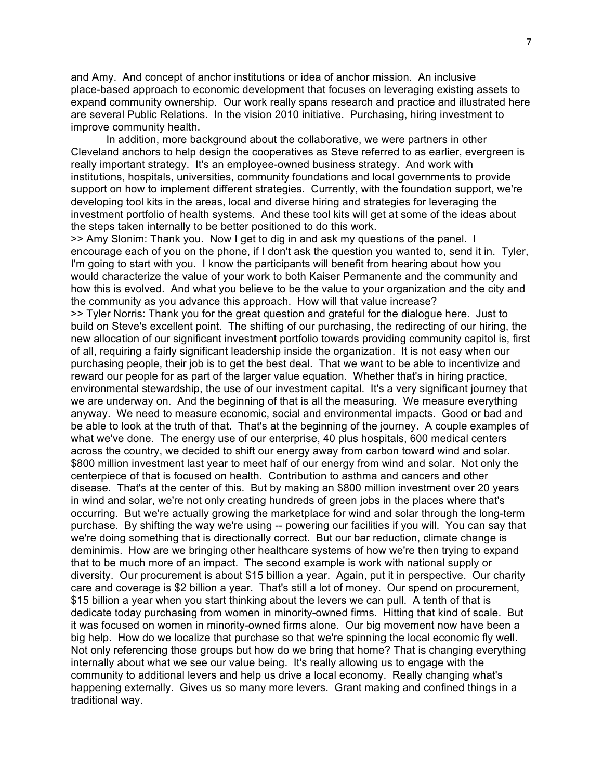and Amy. And concept of anchor institutions or idea of anchor mission. An inclusive place-based approach to economic development that focuses on leveraging existing assets to expand community ownership. Our work really spans research and practice and illustrated here are several Public Relations. In the vision 2010 initiative. Purchasing, hiring investment to improve community health.

In addition, more background about the collaborative, we were partners in other Cleveland anchors to help design the cooperatives as Steve referred to as earlier, evergreen is really important strategy. It's an employee-owned business strategy. And work with institutions, hospitals, universities, community foundations and local governments to provide support on how to implement different strategies. Currently, with the foundation support, we're developing tool kits in the areas, local and diverse hiring and strategies for leveraging the investment portfolio of health systems. And these tool kits will get at some of the ideas about the steps taken internally to be better positioned to do this work.

>> Amy Slonim: Thank you. Now I get to dig in and ask my questions of the panel. I encourage each of you on the phone, if I don't ask the question you wanted to, send it in. Tyler, I'm going to start with you. I know the participants will benefit from hearing about how you would characterize the value of your work to both Kaiser Permanente and the community and how this is evolved. And what you believe to be the value to your organization and the city and the community as you advance this approach. How will that value increase? >> Tyler Norris: Thank you for the great question and grateful for the dialogue here. Just to build on Steve's excellent point. The shifting of our purchasing, the redirecting of our hiring, the new allocation of our significant investment portfolio towards providing community capitol is, first of all, requiring a fairly significant leadership inside the organization. It is not easy when our purchasing people, their job is to get the best deal. That we want to be able to incentivize and reward our people for as part of the larger value equation. Whether that's in hiring practice, environmental stewardship, the use of our investment capital. It's a very significant journey that we are underway on. And the beginning of that is all the measuring. We measure everything anyway. We need to measure economic, social and environmental impacts. Good or bad and be able to look at the truth of that. That's at the beginning of the journey. A couple examples of what we've done. The energy use of our enterprise, 40 plus hospitals, 600 medical centers across the country, we decided to shift our energy away from carbon toward wind and solar. \$800 million investment last year to meet half of our energy from wind and solar. Not only the centerpiece of that is focused on health. Contribution to asthma and cancers and other disease. That's at the center of this. But by making an \$800 million investment over 20 years in wind and solar, we're not only creating hundreds of green jobs in the places where that's occurring. But we're actually growing the marketplace for wind and solar through the long-term purchase. By shifting the way we're using -- powering our facilities if you will. You can say that we're doing something that is directionally correct. But our bar reduction, climate change is deminimis. How are we bringing other healthcare systems of how we're then trying to expand that to be much more of an impact. The second example is work with national supply or diversity. Our procurement is about \$15 billion a year. Again, put it in perspective. Our charity care and coverage is \$2 billion a year. That's still a lot of money. Our spend on procurement, \$15 billion a year when you start thinking about the levers we can pull. A tenth of that is dedicate today purchasing from women in minority-owned firms. Hitting that kind of scale. But it was focused on women in minority-owned firms alone. Our big movement now have been a big help. How do we localize that purchase so that we're spinning the local economic fly well. Not only referencing those groups but how do we bring that home? That is changing everything internally about what we see our value being. It's really allowing us to engage with the community to additional levers and help us drive a local economy. Really changing what's happening externally. Gives us so many more levers. Grant making and confined things in a traditional way.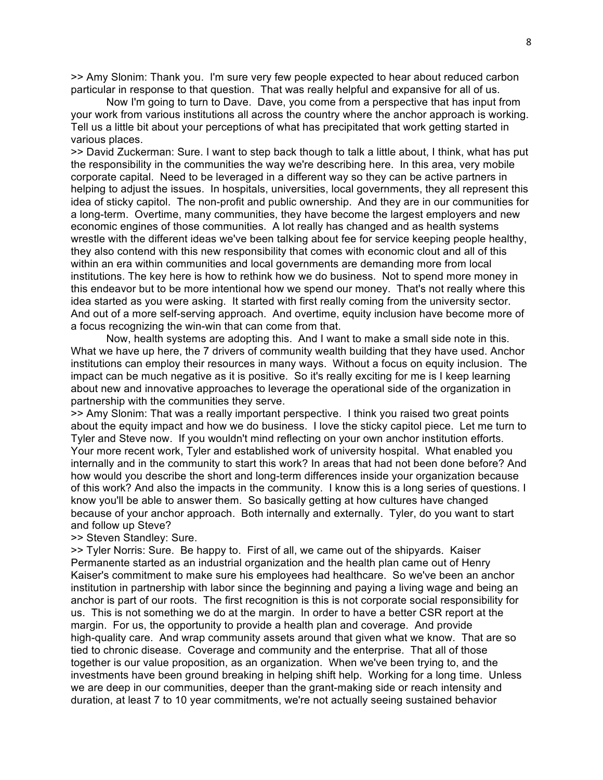>> Amy Slonim: Thank you. I'm sure very few people expected to hear about reduced carbon particular in response to that question. That was really helpful and expansive for all of us.

Now I'm going to turn to Dave. Dave, you come from a perspective that has input from your work from various institutions all across the country where the anchor approach is working. Tell us a little bit about your perceptions of what has precipitated that work getting started in various places.

>> David Zuckerman: Sure. I want to step back though to talk a little about, I think, what has put the responsibility in the communities the way we're describing here. In this area, very mobile corporate capital. Need to be leveraged in a different way so they can be active partners in helping to adjust the issues. In hospitals, universities, local governments, they all represent this idea of sticky capitol. The non-profit and public ownership. And they are in our communities for a long-term. Overtime, many communities, they have become the largest employers and new economic engines of those communities. A lot really has changed and as health systems wrestle with the different ideas we've been talking about fee for service keeping people healthy, they also contend with this new responsibility that comes with economic clout and all of this within an era within communities and local governments are demanding more from local institutions. The key here is how to rethink how we do business. Not to spend more money in this endeavor but to be more intentional how we spend our money. That's not really where this idea started as you were asking. It started with first really coming from the university sector. And out of a more self-serving approach. And overtime, equity inclusion have become more of a focus recognizing the win-win that can come from that.

Now, health systems are adopting this. And I want to make a small side note in this. What we have up here, the 7 drivers of community wealth building that they have used. Anchor institutions can employ their resources in many ways. Without a focus on equity inclusion. The impact can be much negative as it is positive. So it's really exciting for me is I keep learning about new and innovative approaches to leverage the operational side of the organization in partnership with the communities they serve.

>> Amy Slonim: That was a really important perspective. I think you raised two great points about the equity impact and how we do business. I love the sticky capitol piece. Let me turn to Tyler and Steve now. If you wouldn't mind reflecting on your own anchor institution efforts. Your more recent work, Tyler and established work of university hospital. What enabled you internally and in the community to start this work? In areas that had not been done before? And how would you describe the short and long-term differences inside your organization because of this work? And also the impacts in the community. I know this is a long series of questions. I know you'll be able to answer them. So basically getting at how cultures have changed because of your anchor approach. Both internally and externally. Tyler, do you want to start and follow up Steve?

>> Steven Standley: Sure.

>> Tyler Norris: Sure. Be happy to. First of all, we came out of the shipyards. Kaiser Permanente started as an industrial organization and the health plan came out of Henry Kaiser's commitment to make sure his employees had healthcare. So we've been an anchor institution in partnership with labor since the beginning and paying a living wage and being an anchor is part of our roots. The first recognition is this is not corporate social responsibility for us. This is not something we do at the margin. In order to have a better CSR report at the margin. For us, the opportunity to provide a health plan and coverage. And provide high-quality care. And wrap community assets around that given what we know. That are so tied to chronic disease. Coverage and community and the enterprise. That all of those together is our value proposition, as an organization. When we've been trying to, and the investments have been ground breaking in helping shift help. Working for a long time. Unless we are deep in our communities, deeper than the grant-making side or reach intensity and duration, at least 7 to 10 year commitments, we're not actually seeing sustained behavior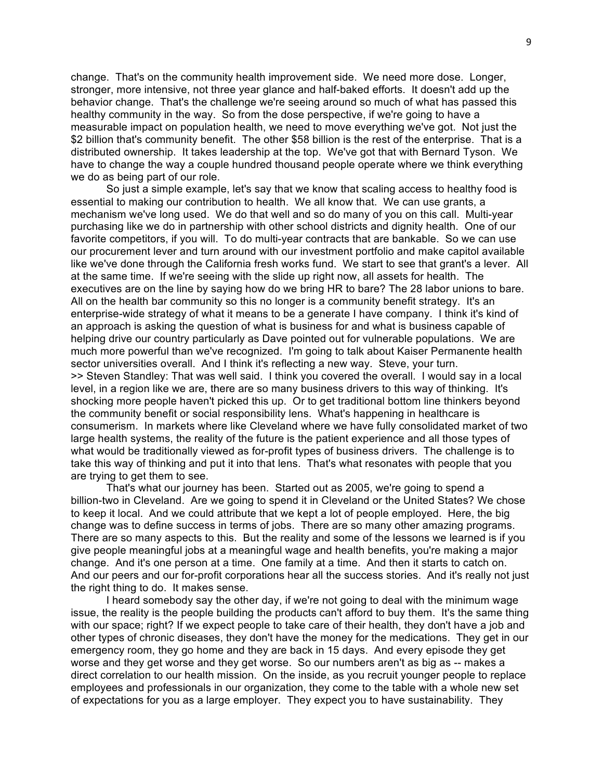change. That's on the community health improvement side. We need more dose. Longer, stronger, more intensive, not three year glance and half-baked efforts. It doesn't add up the behavior change. That's the challenge we're seeing around so much of what has passed this healthy community in the way. So from the dose perspective, if we're going to have a measurable impact on population health, we need to move everything we've got. Not just the \$2 billion that's community benefit. The other \$58 billion is the rest of the enterprise. That is a distributed ownership. It takes leadership at the top. We've got that with Bernard Tyson. We have to change the way a couple hundred thousand people operate where we think everything we do as being part of our role.

So just a simple example, let's say that we know that scaling access to healthy food is essential to making our contribution to health. We all know that. We can use grants, a mechanism we've long used. We do that well and so do many of you on this call. Multi-year purchasing like we do in partnership with other school districts and dignity health. One of our favorite competitors, if you will. To do multi-year contracts that are bankable. So we can use our procurement lever and turn around with our investment portfolio and make capitol available like we've done through the California fresh works fund. We start to see that grant's a lever. All at the same time. If we're seeing with the slide up right now, all assets for health. The executives are on the line by saying how do we bring HR to bare? The 28 labor unions to bare. All on the health bar community so this no longer is a community benefit strategy. It's an enterprise-wide strategy of what it means to be a generate I have company. I think it's kind of an approach is asking the question of what is business for and what is business capable of helping drive our country particularly as Dave pointed out for vulnerable populations. We are much more powerful than we've recognized. I'm going to talk about Kaiser Permanente health sector universities overall. And I think it's reflecting a new way. Steve, your turn. >> Steven Standley: That was well said. I think you covered the overall. I would say in a local level, in a region like we are, there are so many business drivers to this way of thinking. It's shocking more people haven't picked this up. Or to get traditional bottom line thinkers beyond the community benefit or social responsibility lens. What's happening in healthcare is consumerism. In markets where like Cleveland where we have fully consolidated market of two large health systems, the reality of the future is the patient experience and all those types of what would be traditionally viewed as for-profit types of business drivers. The challenge is to take this way of thinking and put it into that lens. That's what resonates with people that you are trying to get them to see.

That's what our journey has been. Started out as 2005, we're going to spend a billion-two in Cleveland. Are we going to spend it in Cleveland or the United States? We chose to keep it local. And we could attribute that we kept a lot of people employed. Here, the big change was to define success in terms of jobs. There are so many other amazing programs. There are so many aspects to this. But the reality and some of the lessons we learned is if you give people meaningful jobs at a meaningful wage and health benefits, you're making a major change. And it's one person at a time. One family at a time. And then it starts to catch on. And our peers and our for-profit corporations hear all the success stories. And it's really not just the right thing to do. It makes sense.

I heard somebody say the other day, if we're not going to deal with the minimum wage issue, the reality is the people building the products can't afford to buy them. It's the same thing with our space; right? If we expect people to take care of their health, they don't have a job and other types of chronic diseases, they don't have the money for the medications. They get in our emergency room, they go home and they are back in 15 days. And every episode they get worse and they get worse and they get worse. So our numbers aren't as big as -- makes a direct correlation to our health mission. On the inside, as you recruit younger people to replace employees and professionals in our organization, they come to the table with a whole new set of expectations for you as a large employer. They expect you to have sustainability. They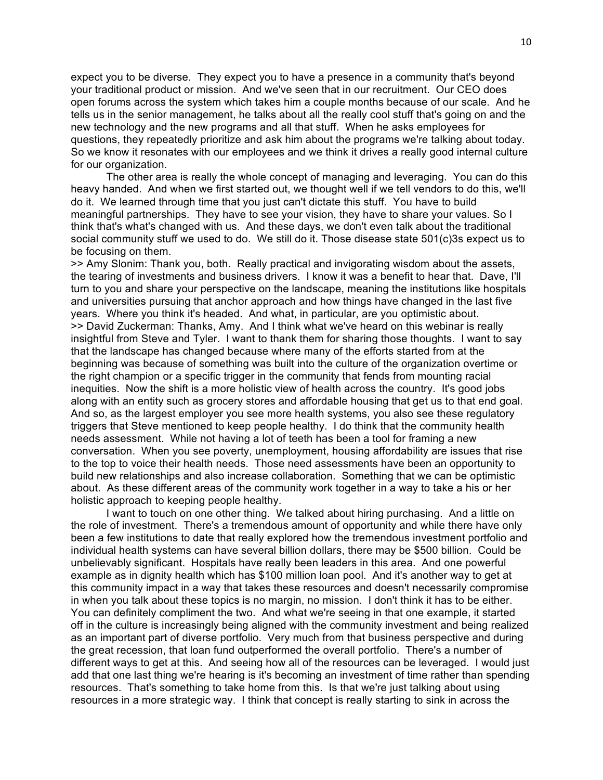expect you to be diverse. They expect you to have a presence in a community that's beyond your traditional product or mission. And we've seen that in our recruitment. Our CEO does open forums across the system which takes him a couple months because of our scale. And he tells us in the senior management, he talks about all the really cool stuff that's going on and the new technology and the new programs and all that stuff. When he asks employees for questions, they repeatedly prioritize and ask him about the programs we're talking about today. So we know it resonates with our employees and we think it drives a really good internal culture for our organization.

The other area is really the whole concept of managing and leveraging. You can do this heavy handed. And when we first started out, we thought well if we tell vendors to do this, we'll do it. We learned through time that you just can't dictate this stuff. You have to build meaningful partnerships. They have to see your vision, they have to share your values. So I think that's what's changed with us. And these days, we don't even talk about the traditional social community stuff we used to do. We still do it. Those disease state 501(c)3s expect us to be focusing on them.

>> Amy Slonim: Thank you, both. Really practical and invigorating wisdom about the assets, the tearing of investments and business drivers. I know it was a benefit to hear that. Dave, I'll turn to you and share your perspective on the landscape, meaning the institutions like hospitals and universities pursuing that anchor approach and how things have changed in the last five years. Where you think it's headed. And what, in particular, are you optimistic about. >> David Zuckerman: Thanks, Amy. And I think what we've heard on this webinar is really insightful from Steve and Tyler. I want to thank them for sharing those thoughts. I want to say that the landscape has changed because where many of the efforts started from at the beginning was because of something was built into the culture of the organization overtime or the right champion or a specific trigger in the community that fends from mounting racial inequities. Now the shift is a more holistic view of health across the country. It's good jobs along with an entity such as grocery stores and affordable housing that get us to that end goal. And so, as the largest employer you see more health systems, you also see these regulatory triggers that Steve mentioned to keep people healthy. I do think that the community health needs assessment. While not having a lot of teeth has been a tool for framing a new conversation. When you see poverty, unemployment, housing affordability are issues that rise to the top to voice their health needs. Those need assessments have been an opportunity to build new relationships and also increase collaboration. Something that we can be optimistic about. As these different areas of the community work together in a way to take a his or her holistic approach to keeping people healthy.

I want to touch on one other thing. We talked about hiring purchasing. And a little on the role of investment. There's a tremendous amount of opportunity and while there have only been a few institutions to date that really explored how the tremendous investment portfolio and individual health systems can have several billion dollars, there may be \$500 billion. Could be unbelievably significant. Hospitals have really been leaders in this area. And one powerful example as in dignity health which has \$100 million loan pool. And it's another way to get at this community impact in a way that takes these resources and doesn't necessarily compromise in when you talk about these topics is no margin, no mission. I don't think it has to be either. You can definitely compliment the two. And what we're seeing in that one example, it started off in the culture is increasingly being aligned with the community investment and being realized as an important part of diverse portfolio. Very much from that business perspective and during the great recession, that loan fund outperformed the overall portfolio. There's a number of different ways to get at this. And seeing how all of the resources can be leveraged. I would just add that one last thing we're hearing is it's becoming an investment of time rather than spending resources. That's something to take home from this. Is that we're just talking about using resources in a more strategic way. I think that concept is really starting to sink in across the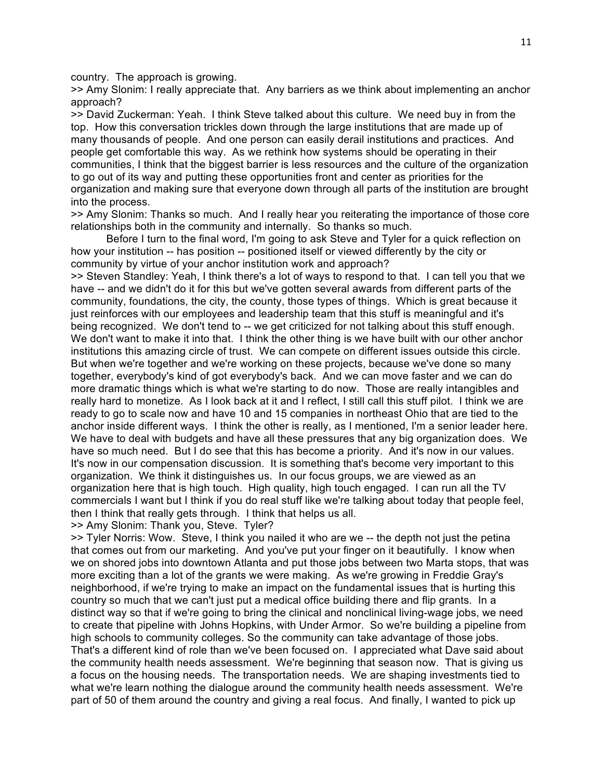country. The approach is growing.

>> Amy Slonim: I really appreciate that. Any barriers as we think about implementing an anchor approach?

>> David Zuckerman: Yeah. I think Steve talked about this culture. We need buy in from the top. How this conversation trickles down through the large institutions that are made up of many thousands of people. And one person can easily derail institutions and practices. And people get comfortable this way. As we rethink how systems should be operating in their communities, I think that the biggest barrier is less resources and the culture of the organization to go out of its way and putting these opportunities front and center as priorities for the organization and making sure that everyone down through all parts of the institution are brought into the process.

>> Amy Slonim: Thanks so much. And I really hear you reiterating the importance of those core relationships both in the community and internally. So thanks so much.

Before I turn to the final word, I'm going to ask Steve and Tyler for a quick reflection on how your institution -- has position -- positioned itself or viewed differently by the city or community by virtue of your anchor institution work and approach?

>> Steven Standley: Yeah, I think there's a lot of ways to respond to that. I can tell you that we have -- and we didn't do it for this but we've gotten several awards from different parts of the community, foundations, the city, the county, those types of things. Which is great because it just reinforces with our employees and leadership team that this stuff is meaningful and it's being recognized. We don't tend to -- we get criticized for not talking about this stuff enough. We don't want to make it into that. I think the other thing is we have built with our other anchor institutions this amazing circle of trust. We can compete on different issues outside this circle. But when we're together and we're working on these projects, because we've done so many together, everybody's kind of got everybody's back. And we can move faster and we can do more dramatic things which is what we're starting to do now. Those are really intangibles and really hard to monetize. As I look back at it and I reflect, I still call this stuff pilot. I think we are ready to go to scale now and have 10 and 15 companies in northeast Ohio that are tied to the anchor inside different ways. I think the other is really, as I mentioned, I'm a senior leader here. We have to deal with budgets and have all these pressures that any big organization does. We have so much need. But I do see that this has become a priority. And it's now in our values. It's now in our compensation discussion. It is something that's become very important to this organization. We think it distinguishes us. In our focus groups, we are viewed as an organization here that is high touch. High quality, high touch engaged. I can run all the TV commercials I want but I think if you do real stuff like we're talking about today that people feel, then I think that really gets through. I think that helps us all.

>> Amy Slonim: Thank you, Steve. Tyler?

>> Tyler Norris: Wow. Steve, I think you nailed it who are we -- the depth not just the petina that comes out from our marketing. And you've put your finger on it beautifully. I know when we on shored jobs into downtown Atlanta and put those jobs between two Marta stops, that was more exciting than a lot of the grants we were making. As we're growing in Freddie Gray's neighborhood, if we're trying to make an impact on the fundamental issues that is hurting this country so much that we can't just put a medical office building there and flip grants. In a distinct way so that if we're going to bring the clinical and nonclinical living-wage jobs, we need to create that pipeline with Johns Hopkins, with Under Armor. So we're building a pipeline from high schools to community colleges. So the community can take advantage of those jobs. That's a different kind of role than we've been focused on. I appreciated what Dave said about the community health needs assessment. We're beginning that season now. That is giving us a focus on the housing needs. The transportation needs. We are shaping investments tied to what we're learn nothing the dialogue around the community health needs assessment. We're part of 50 of them around the country and giving a real focus. And finally, I wanted to pick up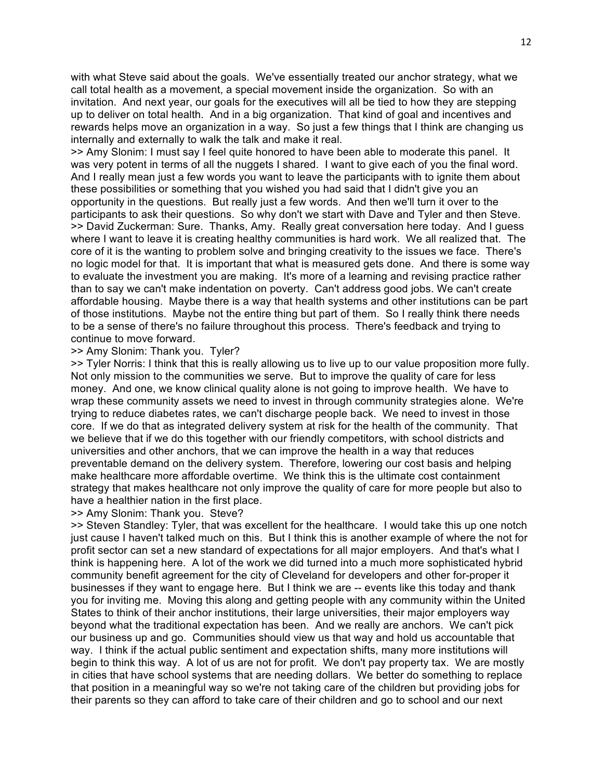with what Steve said about the goals. We've essentially treated our anchor strategy, what we call total health as a movement, a special movement inside the organization. So with an invitation. And next year, our goals for the executives will all be tied to how they are stepping up to deliver on total health. And in a big organization. That kind of goal and incentives and rewards helps move an organization in a way. So just a few things that I think are changing us internally and externally to walk the talk and make it real.

>> Amy Slonim: I must say I feel quite honored to have been able to moderate this panel. It was very potent in terms of all the nuggets I shared. I want to give each of you the final word. And I really mean just a few words you want to leave the participants with to ignite them about these possibilities or something that you wished you had said that I didn't give you an opportunity in the questions. But really just a few words. And then we'll turn it over to the participants to ask their questions. So why don't we start with Dave and Tyler and then Steve. >> David Zuckerman: Sure. Thanks, Amy. Really great conversation here today. And I guess where I want to leave it is creating healthy communities is hard work. We all realized that. The core of it is the wanting to problem solve and bringing creativity to the issues we face. There's no logic model for that. It is important that what is measured gets done. And there is some way to evaluate the investment you are making. It's more of a learning and revising practice rather than to say we can't make indentation on poverty. Can't address good jobs. We can't create affordable housing. Maybe there is a way that health systems and other institutions can be part of those institutions. Maybe not the entire thing but part of them. So I really think there needs to be a sense of there's no failure throughout this process. There's feedback and trying to continue to move forward.

## >> Amy Slonim: Thank you. Tyler?

>> Tyler Norris: I think that this is really allowing us to live up to our value proposition more fully. Not only mission to the communities we serve. But to improve the quality of care for less money. And one, we know clinical quality alone is not going to improve health. We have to wrap these community assets we need to invest in through community strategies alone. We're trying to reduce diabetes rates, we can't discharge people back. We need to invest in those core. If we do that as integrated delivery system at risk for the health of the community. That we believe that if we do this together with our friendly competitors, with school districts and universities and other anchors, that we can improve the health in a way that reduces preventable demand on the delivery system. Therefore, lowering our cost basis and helping make healthcare more affordable overtime. We think this is the ultimate cost containment strategy that makes healthcare not only improve the quality of care for more people but also to have a healthier nation in the first place.

## >> Amy Slonim: Thank you. Steve?

>> Steven Standley: Tyler, that was excellent for the healthcare. I would take this up one notch just cause I haven't talked much on this. But I think this is another example of where the not for profit sector can set a new standard of expectations for all major employers. And that's what I think is happening here. A lot of the work we did turned into a much more sophisticated hybrid community benefit agreement for the city of Cleveland for developers and other for-proper it businesses if they want to engage here. But I think we are -- events like this today and thank you for inviting me. Moving this along and getting people with any community within the United States to think of their anchor institutions, their large universities, their major employers way beyond what the traditional expectation has been. And we really are anchors. We can't pick our business up and go. Communities should view us that way and hold us accountable that way. I think if the actual public sentiment and expectation shifts, many more institutions will begin to think this way. A lot of us are not for profit. We don't pay property tax. We are mostly in cities that have school systems that are needing dollars. We better do something to replace that position in a meaningful way so we're not taking care of the children but providing jobs for their parents so they can afford to take care of their children and go to school and our next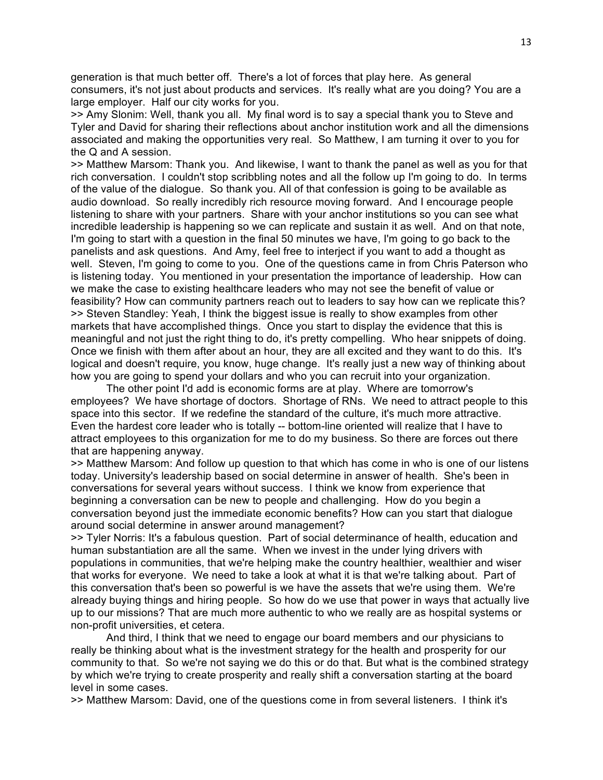generation is that much better off. There's a lot of forces that play here. As general consumers, it's not just about products and services. It's really what are you doing? You are a large employer. Half our city works for you.

>> Amy Slonim: Well, thank you all. My final word is to say a special thank you to Steve and Tyler and David for sharing their reflections about anchor institution work and all the dimensions associated and making the opportunities very real. So Matthew, I am turning it over to you for the Q and A session.

>> Matthew Marsom: Thank you. And likewise, I want to thank the panel as well as you for that rich conversation. I couldn't stop scribbling notes and all the follow up I'm going to do. In terms of the value of the dialogue. So thank you. All of that confession is going to be available as audio download. So really incredibly rich resource moving forward. And I encourage people listening to share with your partners. Share with your anchor institutions so you can see what incredible leadership is happening so we can replicate and sustain it as well. And on that note, I'm going to start with a question in the final 50 minutes we have, I'm going to go back to the panelists and ask questions. And Amy, feel free to interject if you want to add a thought as well. Steven, I'm going to come to you. One of the questions came in from Chris Paterson who is listening today. You mentioned in your presentation the importance of leadership. How can we make the case to existing healthcare leaders who may not see the benefit of value or feasibility? How can community partners reach out to leaders to say how can we replicate this? >> Steven Standley: Yeah, I think the biggest issue is really to show examples from other markets that have accomplished things. Once you start to display the evidence that this is meaningful and not just the right thing to do, it's pretty compelling. Who hear snippets of doing. Once we finish with them after about an hour, they are all excited and they want to do this. It's logical and doesn't require, you know, huge change. It's really just a new way of thinking about how you are going to spend your dollars and who you can recruit into your organization.

The other point I'd add is economic forms are at play. Where are tomorrow's employees? We have shortage of doctors. Shortage of RNs. We need to attract people to this space into this sector. If we redefine the standard of the culture, it's much more attractive. Even the hardest core leader who is totally -- bottom-line oriented will realize that I have to attract employees to this organization for me to do my business. So there are forces out there that are happening anyway.

>> Matthew Marsom: And follow up question to that which has come in who is one of our listens today. University's leadership based on social determine in answer of health. She's been in conversations for several years without success. I think we know from experience that beginning a conversation can be new to people and challenging. How do you begin a conversation beyond just the immediate economic benefits? How can you start that dialogue around social determine in answer around management?

>> Tyler Norris: It's a fabulous question. Part of social determinance of health, education and human substantiation are all the same. When we invest in the under lying drivers with populations in communities, that we're helping make the country healthier, wealthier and wiser that works for everyone. We need to take a look at what it is that we're talking about. Part of this conversation that's been so powerful is we have the assets that we're using them. We're already buying things and hiring people. So how do we use that power in ways that actually live up to our missions? That are much more authentic to who we really are as hospital systems or non-profit universities, et cetera.

And third, I think that we need to engage our board members and our physicians to really be thinking about what is the investment strategy for the health and prosperity for our community to that. So we're not saying we do this or do that. But what is the combined strategy by which we're trying to create prosperity and really shift a conversation starting at the board level in some cases.

>> Matthew Marsom: David, one of the questions come in from several listeners. I think it's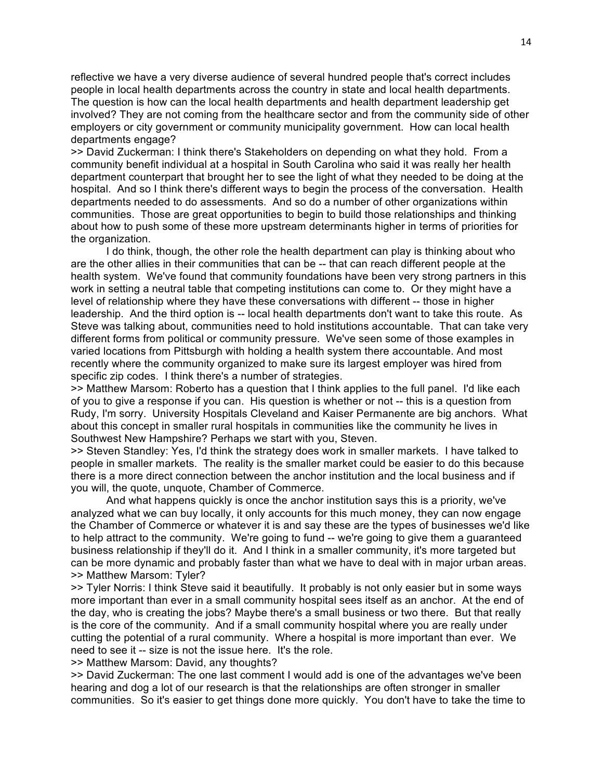reflective we have a very diverse audience of several hundred people that's correct includes people in local health departments across the country in state and local health departments. The question is how can the local health departments and health department leadership get involved? They are not coming from the healthcare sector and from the community side of other employers or city government or community municipality government. How can local health departments engage?

>> David Zuckerman: I think there's Stakeholders on depending on what they hold. From a community benefit individual at a hospital in South Carolina who said it was really her health department counterpart that brought her to see the light of what they needed to be doing at the hospital. And so I think there's different ways to begin the process of the conversation. Health departments needed to do assessments. And so do a number of other organizations within communities. Those are great opportunities to begin to build those relationships and thinking about how to push some of these more upstream determinants higher in terms of priorities for the organization.

I do think, though, the other role the health department can play is thinking about who are the other allies in their communities that can be -- that can reach different people at the health system. We've found that community foundations have been very strong partners in this work in setting a neutral table that competing institutions can come to. Or they might have a level of relationship where they have these conversations with different -- those in higher leadership. And the third option is -- local health departments don't want to take this route. As Steve was talking about, communities need to hold institutions accountable. That can take very different forms from political or community pressure. We've seen some of those examples in varied locations from Pittsburgh with holding a health system there accountable. And most recently where the community organized to make sure its largest employer was hired from specific zip codes. I think there's a number of strategies.

>> Matthew Marsom: Roberto has a question that I think applies to the full panel. I'd like each of you to give a response if you can. His question is whether or not -- this is a question from Rudy, I'm sorry. University Hospitals Cleveland and Kaiser Permanente are big anchors. What about this concept in smaller rural hospitals in communities like the community he lives in Southwest New Hampshire? Perhaps we start with you, Steven.

>> Steven Standley: Yes, I'd think the strategy does work in smaller markets. I have talked to people in smaller markets. The reality is the smaller market could be easier to do this because there is a more direct connection between the anchor institution and the local business and if you will, the quote, unquote, Chamber of Commerce.

And what happens quickly is once the anchor institution says this is a priority, we've analyzed what we can buy locally, it only accounts for this much money, they can now engage the Chamber of Commerce or whatever it is and say these are the types of businesses we'd like to help attract to the community. We're going to fund -- we're going to give them a guaranteed business relationship if they'll do it. And I think in a smaller community, it's more targeted but can be more dynamic and probably faster than what we have to deal with in major urban areas. >> Matthew Marsom: Tyler?

>> Tyler Norris: I think Steve said it beautifully. It probably is not only easier but in some ways more important than ever in a small community hospital sees itself as an anchor. At the end of the day, who is creating the jobs? Maybe there's a small business or two there. But that really is the core of the community. And if a small community hospital where you are really under cutting the potential of a rural community. Where a hospital is more important than ever. We need to see it -- size is not the issue here. It's the role.

>> Matthew Marsom: David, any thoughts?

>> David Zuckerman: The one last comment I would add is one of the advantages we've been hearing and dog a lot of our research is that the relationships are often stronger in smaller communities. So it's easier to get things done more quickly. You don't have to take the time to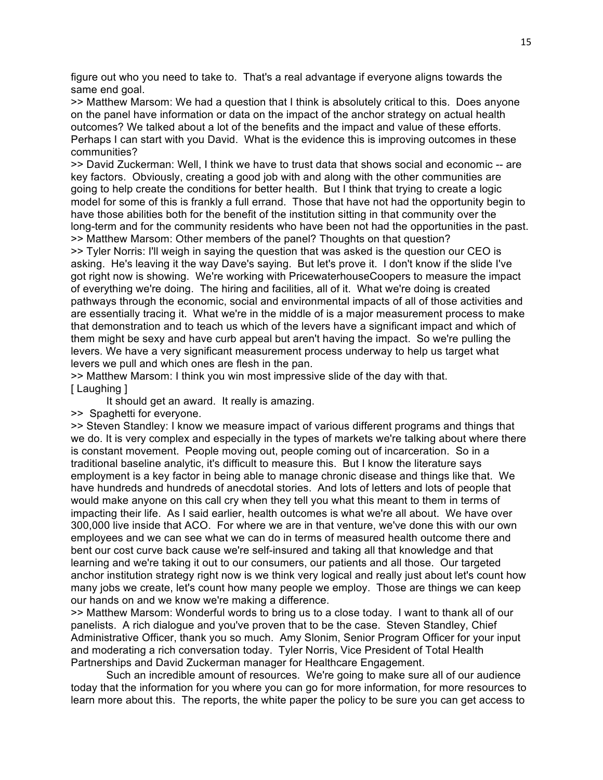figure out who you need to take to. That's a real advantage if everyone aligns towards the same end goal.

>> Matthew Marsom: We had a question that I think is absolutely critical to this. Does anyone on the panel have information or data on the impact of the anchor strategy on actual health outcomes? We talked about a lot of the benefits and the impact and value of these efforts. Perhaps I can start with you David. What is the evidence this is improving outcomes in these communities?

>> David Zuckerman: Well, I think we have to trust data that shows social and economic -- are key factors. Obviously, creating a good job with and along with the other communities are going to help create the conditions for better health. But I think that trying to create a logic model for some of this is frankly a full errand. Those that have not had the opportunity begin to have those abilities both for the benefit of the institution sitting in that community over the long-term and for the community residents who have been not had the opportunities in the past. >> Matthew Marsom: Other members of the panel? Thoughts on that question?

>> Tyler Norris: I'll weigh in saying the question that was asked is the question our CEO is asking. He's leaving it the way Dave's saying. But let's prove it. I don't know if the slide I've got right now is showing. We're working with PricewaterhouseCoopers to measure the impact of everything we're doing. The hiring and facilities, all of it. What we're doing is created pathways through the economic, social and environmental impacts of all of those activities and are essentially tracing it. What we're in the middle of is a major measurement process to make that demonstration and to teach us which of the levers have a significant impact and which of them might be sexy and have curb appeal but aren't having the impact. So we're pulling the levers. We have a very significant measurement process underway to help us target what levers we pull and which ones are flesh in the pan.

>> Matthew Marsom: I think you win most impressive slide of the day with that. [ Laughing ]

It should get an award. It really is amazing.

>> Spaghetti for everyone.

>> Steven Standley: I know we measure impact of various different programs and things that we do. It is very complex and especially in the types of markets we're talking about where there is constant movement. People moving out, people coming out of incarceration. So in a traditional baseline analytic, it's difficult to measure this. But I know the literature says employment is a key factor in being able to manage chronic disease and things like that. We have hundreds and hundreds of anecdotal stories. And lots of letters and lots of people that would make anyone on this call cry when they tell you what this meant to them in terms of impacting their life. As I said earlier, health outcomes is what we're all about. We have over 300,000 live inside that ACO. For where we are in that venture, we've done this with our own employees and we can see what we can do in terms of measured health outcome there and bent our cost curve back cause we're self-insured and taking all that knowledge and that learning and we're taking it out to our consumers, our patients and all those. Our targeted anchor institution strategy right now is we think very logical and really just about let's count how many jobs we create, let's count how many people we employ. Those are things we can keep our hands on and we know we're making a difference.

>> Matthew Marsom: Wonderful words to bring us to a close today. I want to thank all of our panelists. A rich dialogue and you've proven that to be the case. Steven Standley, Chief Administrative Officer, thank you so much. Amy Slonim, Senior Program Officer for your input and moderating a rich conversation today. Tyler Norris, Vice President of Total Health Partnerships and David Zuckerman manager for Healthcare Engagement.

Such an incredible amount of resources. We're going to make sure all of our audience today that the information for you where you can go for more information, for more resources to learn more about this. The reports, the white paper the policy to be sure you can get access to